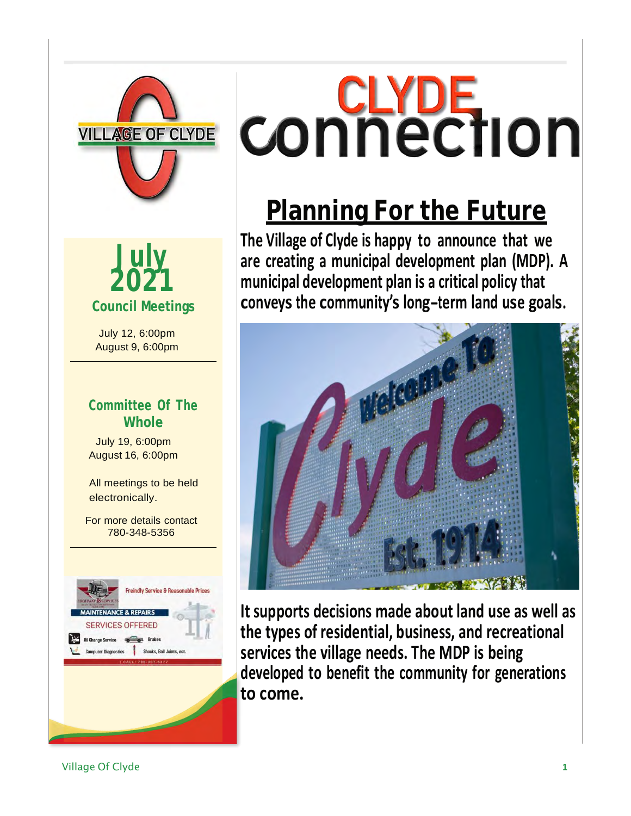



July 12, 6:00pm August 9, 6:00pm

#### **Committee Of The Whole**

July 19, 6:00pm August 16, 6:00pm

All meetings to be held electronically.

For more details contact 780-348-5356



# **CONNECTION**

## **Planning For the Future**

**The Village of Clyde is happy to announce that we are creating a municipal development plan (MDP). A municipal development plan is a critical policy that conveys the community'<sup>s</sup> long-term land use goals.**



**It supports decisions made about land use as well as the types of residential, business, and recreational services the village needs. The MDP is being developed to benefit the community for generations to come.**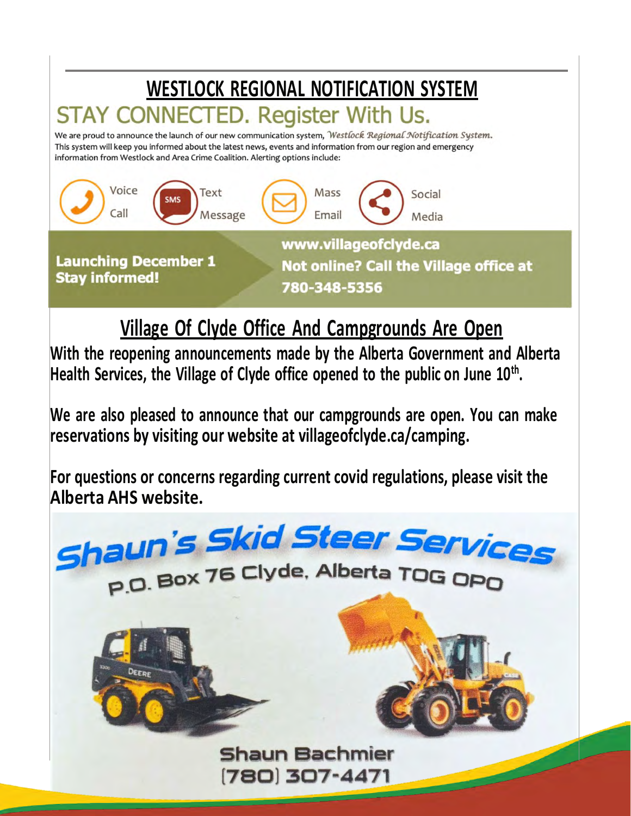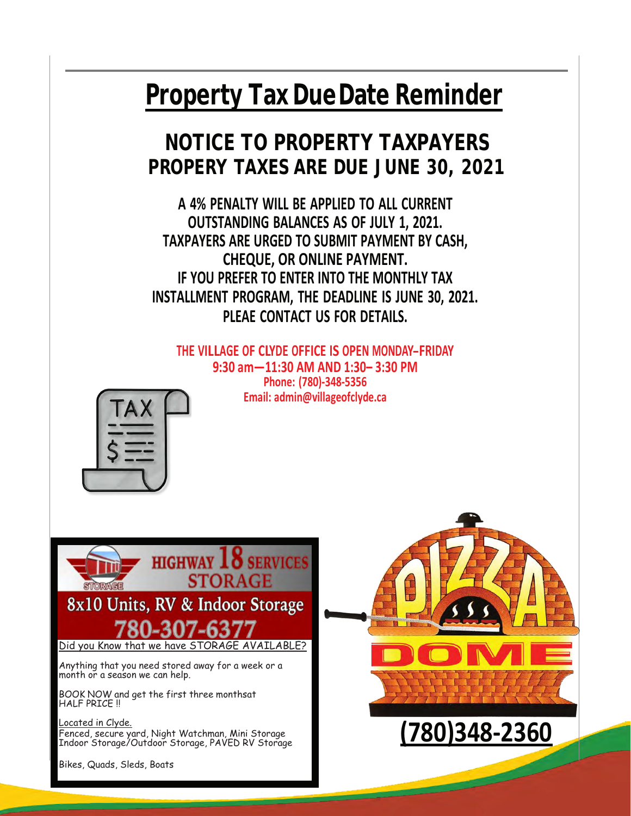## **Property TaxDueDate Reminder**

### **NOTICE TO PROPERTY TAXPAYERS PROPERY TAXES ARE DUE JUNE 30, 2021**

**A 4% PENALTY WILL BE APPLIED TO ALL CURRENT OUTSTANDING BALANCES AS OF JULY 1, 2021. TAXPAYERS ARE URGED TO SUBMIT PAYMENT BY CASH, CHEQUE, OR ONLINE PAYMENT. IF YOU PREFER TO ENTER INTO THE MONTHLY TAX INSTALLMENT PROGRAM, THE DEADLINE IS JUNE 30, 2021. PLEAE CONTACT US FOR DETAILS.**

**THE VILLAGE OF CLYDE OFFICE IS OPEN MONDAY-FRIDAY 9:30 am—11:30 AM AND 1:30– 3:30 PM Phone: (780)-348-5356 Email: [admin@villageofclyde.ca](mailto:admin@villageofclyde.ca)**







Bikes, Quads, Sleds, Boats